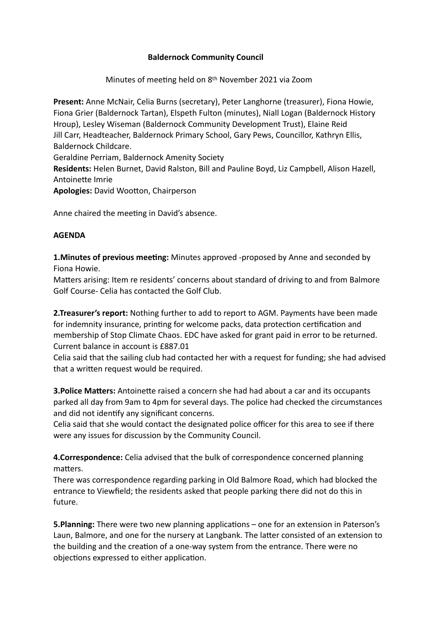## **Baldernock Community Council**

Minutes of meeting held on 8th November 2021 via Zoom

**Present:** Anne McNair, Celia Burns (secretary), Peter Langhorne (treasurer), Fiona Howie, Fiona Grier (Baldernock Tartan), Elspeth Fulton (minutes), Niall Logan (Baldernock History Hroup), Lesley Wiseman (Baldernock Community Development Trust), Elaine Reid Jill Carr, Headteacher, Baldernock Primary School, Gary Pews, Councillor, Kathryn Ellis, Baldernock Childcare. Geraldine Perriam, Baldernock Amenity Society **Residents:** Helen Burnet, David Ralston, Bill and Pauline Boyd, Liz Campbell, Alison Hazell,

Antoinette Imrie

**Apologies: David Wootton, Chairperson** 

Anne chaired the meeting in David's absence.

## **AGENDA**

**1.Minutes of previous meeting:** Minutes approved -proposed by Anne and seconded by Fiona Howie.

Matters arising: Item re residents' concerns about standard of driving to and from Balmore Golf Course- Celia has contacted the Golf Club.

**2.Treasurer's report:** Nothing further to add to report to AGM. Payments have been made for indemnity insurance, printing for welcome packs, data protection certification and membership of Stop Climate Chaos. EDC have asked for grant paid in error to be returned. Current balance in account is £887.01

Celia said that the sailing club had contacted her with a request for funding; she had advised that a written request would be required.

**3. Police Matters:** Antoinette raised a concern she had had about a car and its occupants parked all day from 9am to 4pm for several days. The police had checked the circumstances and did not identify any significant concerns.

Celia said that she would contact the designated police officer for this area to see if there were any issues for discussion by the Community Council.

**4.Correspondence:** Celia advised that the bulk of correspondence concerned planning matters.

There was correspondence regarding parking in Old Balmore Road, which had blocked the entrance to Viewfield; the residents asked that people parking there did not do this in future.

**5.Planning:** There were two new planning applications – one for an extension in Paterson's Laun, Balmore, and one for the nursery at Langbank. The latter consisted of an extension to the building and the creation of a one-way system from the entrance. There were no objections expressed to either application.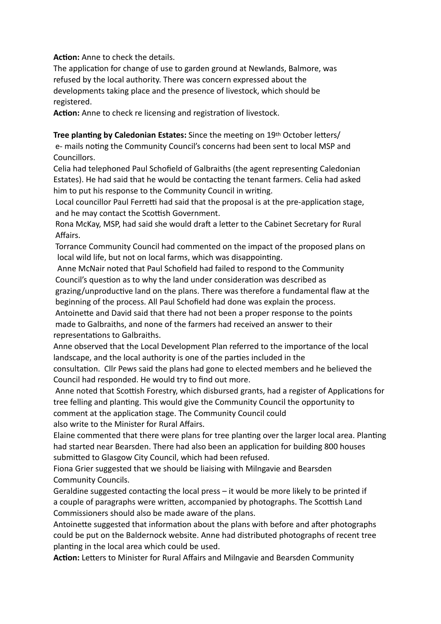**Action:** Anne to check the details.

The application for change of use to garden ground at Newlands, Balmore, was refused by the local authority. There was concern expressed about the developments taking place and the presence of livestock, which should be registered.

**Action:** Anne to check re licensing and registration of livestock.

## **Tree planting by Caledonian Estates:** Since the meeting on 19th October letters/

e- mails noting the Community Council's concerns had been sent to local MSP and Councillors.

Celia had telephoned Paul Schofield of Galbraiths (the agent representing Caledonian Estates). He had said that he would be contacting the tenant farmers. Celia had asked him to put his response to the Community Council in writing.

Local councillor Paul Ferretti had said that the proposal is at the pre-application stage, and he may contact the Scottish Government.

Rona McKay, MSP, had said she would draft a letter to the Cabinet Secretary for Rural Affairs.

 Torrance Community Council had commented on the impact of the proposed plans on local wild life, but not on local farms, which was disappointing.

 Anne McNair noted that Paul Schofield had failed to respond to the Community Council's question as to why the land under consideration was described as

grazing/unproductive land on the plans. There was therefore a fundamental flaw at the beginning of the process. All Paul Schofield had done was explain the process.

Antoinette and David said that there had not been a proper response to the points made to Galbraiths, and none of the farmers had received an answer to their representations to Galbraiths.

Anne observed that the Local Development Plan referred to the importance of the local landscape, and the local authority is one of the parties included in the

consultation. Cllr Pews said the plans had gone to elected members and he believed the Council had responded. He would try to find out more.

Anne noted that Scottish Forestry, which disbursed grants, had a register of Applications for tree felling and planting. This would give the Community Council the opportunity to comment at the application stage. The Community Council could also write to the Minister for Rural Affairs.

Elaine commented that there were plans for tree planting over the larger local area. Planting had started near Bearsden. There had also been an application for building 800 houses submitted to Glasgow City Council, which had been refused.

Fiona Grier suggested that we should be liaising with Milngavie and Bearsden Community Councils.

Geraldine suggested contacting the local press  $-$  it would be more likely to be printed if a couple of paragraphs were written, accompanied by photographs. The Scottish Land Commissioners should also be made aware of the plans.

Antoinette suggested that information about the plans with before and after photographs could be put on the Baldernock website. Anne had distributed photographs of recent tree planting in the local area which could be used.

Action: Letters to Minister for Rural Affairs and Milngavie and Bearsden Community